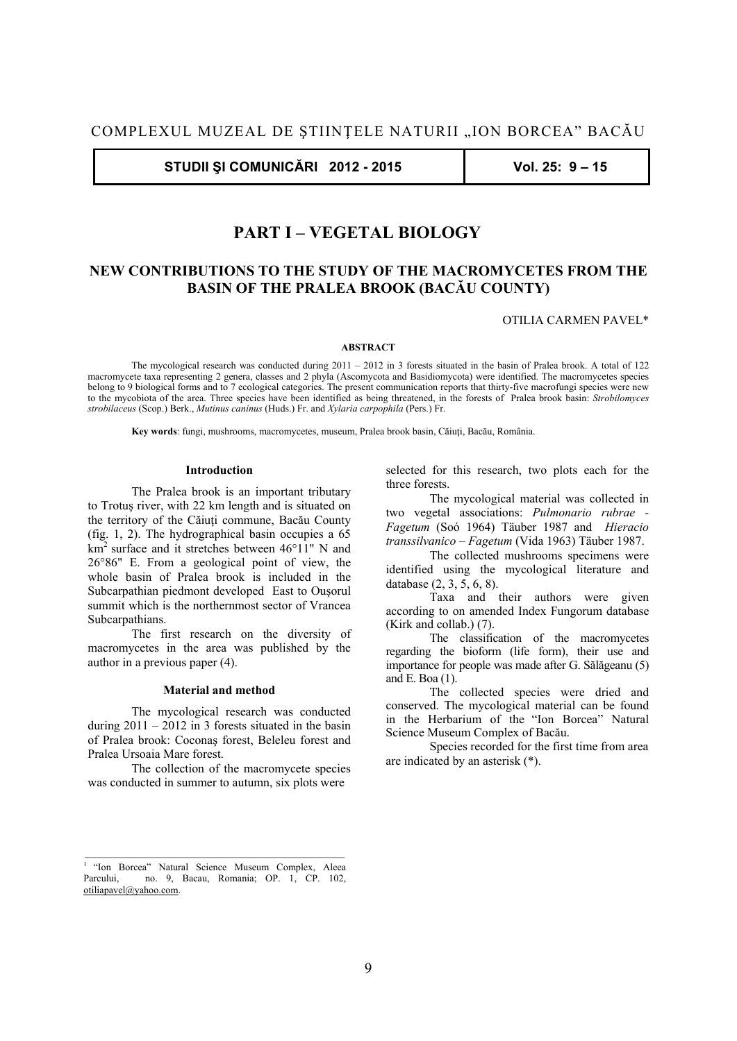**STUDII ŞI COMUNICĂRI 2012 - 2015 Vol. 25: 9 – 15** 

# **PART I – VEGETAL BIOLOGY**

# **NEW CONTRIBUTIONS TO THE STUDY OF THE MACROMYCETES FROM THE BASIN OF THE PRALEA BROOK (BACĂU COUNTY)**

# OTILIA CARMEN PAVEL\*

# **ABSTRACT**

 The mycological research was conducted during 2011 – 2012 in 3 forests situated in the basin of Pralea brook. A total of 122 macromycete taxa representing 2 genera, classes and 2 phyla (Ascomycota and Basidiomycota) were identified. The macromycetes species belong to 9 biological forms and to 7 ecological categories. The present communication reports that thirty-five macrofungi species were new to the mycobiota of the area. Three species have been identified as being threatened, in the forests of Pralea brook basin: *Strobilomyces strobilaceus* (Scop.) Berk., *Mutinus caninus* (Huds.) Fr. and *Xylaria carpophila* (Pers.) Fr.

 **Key words**: fungi, mushrooms, macromycetes, museum, Pralea brook basin, Căiuţi, Bacău, România.

#### **Introduction**

 The Pralea brook is an important tributary to Trotuş river, with 22 km length and is situated on the territory of the Căiuţi commune, Bacău County (fig. 1, 2). The hydrographical basin occupies a 65 km<sup>2</sup> surface and it stretches between 46°11" N and 26°86" E. From a geological point of view, the whole basin of Pralea brook is included in the Subcarpathian piedmont developed East to Ouşorul summit which is the northernmost sector of Vrancea Subcarpathians.

 The first research on the diversity of macromycetes in the area was published by the author in a previous paper (4).

### **Material and method**

 The mycological research was conducted during  $2011 - 2012$  in 3 forests situated in the basin of Pralea brook: Coconaş forest, Beleleu forest and Pralea Ursoaia Mare forest.

 The collection of the macromycete species was conducted in summer to autumn, six plots were

selected for this research, two plots each for the three forests.

 The mycological material was collected in two vegetal associations: *Pulmonario rubrae - Fagetum* (Soó 1964) Täuber 1987 and *Hieracio transsilvanico – Fagetum* (Vida 1963) Täuber 1987.

 The collected mushrooms specimens were identified using the mycological literature and database (2, 3, 5, 6, 8).

 Taxa and their authors were given according to on amended Index Fungorum database (Kirk and collab.) (7).

 The classification of the macromycetes regarding the bioform (life form), their use and importance for people was made after G. Sălăgeanu (5) and E. Boa (1).

 The collected species were dried and conserved. The mycological material can be found in the Herbarium of the "Ion Borcea" Natural Science Museum Complex of Bacău.

 Species recorded for the first time from area are indicated by an asterisk (\*).

<sup>1 &</sup>quot;Ion Borcea" Natural Science Museum Complex, Aleea no. 9, Bacau, Romania; OP.  $1, \overrightarrow{CP}$ , 102, otiliapavel@yahoo.com.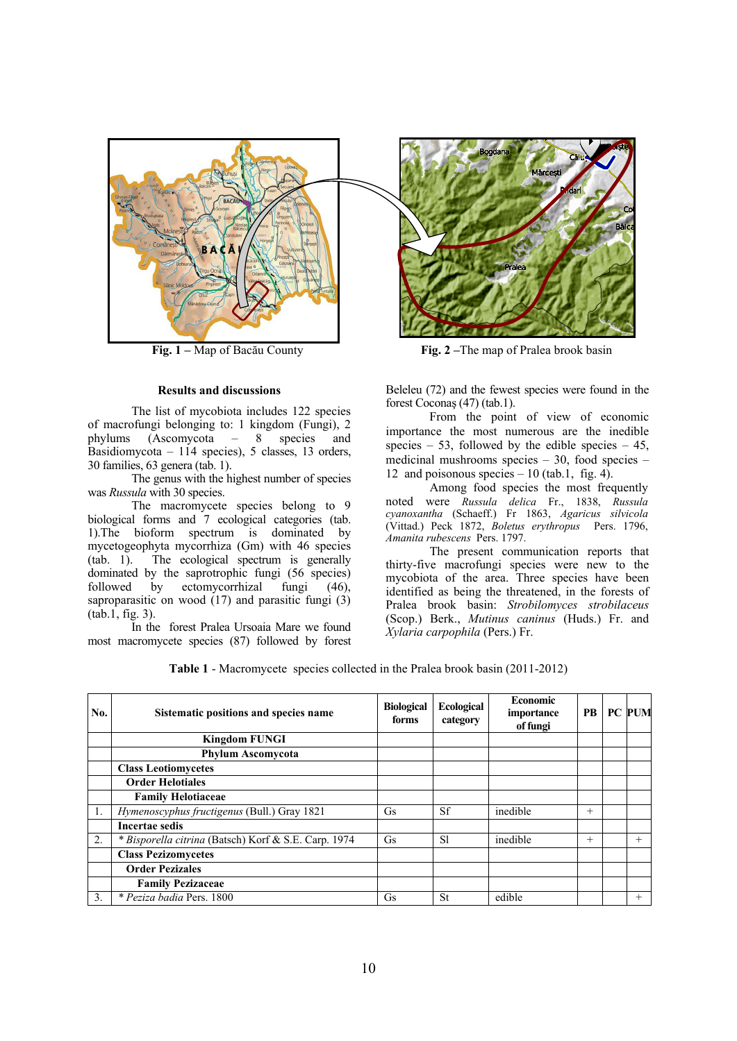

# **Results and discussions**

 The list of mycobiota includes 122 species of macrofungi belonging to: 1 kingdom (Fungi), 2<br>phylums (Ascomycota  $-8$  species and species and Basidiomycota – 114 species), 5 classes, 13 orders, 30 families, 63 genera (tab. 1).

 The genus with the highest number of species was *Russula* with 30 species.

The macromycete species belong to 9 biological forms and 7 ecological categories (tab. 1).The bioform spectrum is dominated by mycetogeophyta mycorrhiza (Gm) with 46 species<br>(tab. 1). The ecological spectrum is generally The ecological spectrum is generally dominated by the saprotrophic fungi (56 species) followed by ectomycorrhizal fungi (46), saproparasitic on wood  $(17)$  and parasitic fungi  $(3)$ (tab.1, fig. 3).

 In the forest Pralea Ursoaia Mare we found most macromycete species (87) followed by forest



**Fig. 1 –** Map of Bacău County **Fig. 2 –**The map of Pralea brook basin

Beleleu (72) and the fewest species were found in the forest Coconaş (47) (tab.1).

 From the point of view of economic importance the most numerous are the inedible species – 53, followed by the edible species – 45, medicinal mushrooms species  $-30$ , food species  $-$ 12 and poisonous species  $-10$  (tab.1, fig. 4).

 Among food species the most frequently noted were *Russula delica* Fr., 1838, *Russula cyanoxantha* (Schaeff.) Fr 1863, *Agaricus silvicola* (Vittad.) Peck 1872, *Boletus erythropus* Pers. 1796, *Amanita rubescens* Pers. 1797.

 The present communication reports that thirty-five macrofungi species were new to the mycobiota of the area. Three species have been identified as being the threatened, in the forests of Pralea brook basin: *Strobilomyces strobilaceus* (Scop.) Berk., *Mutinus caninus* (Huds.) Fr. and *Xylaria carpophila* (Pers.) Fr.

| <b>Table 1</b> - Macromycete species collected in the Pralea brook basin $(2011-2012)$ |  |  |  |
|----------------------------------------------------------------------------------------|--|--|--|
|----------------------------------------------------------------------------------------|--|--|--|

| No. | Sistematic positions and species name                | <b>Biological</b><br>forms | <b>Ecological</b><br>category | <b>Economic</b><br>importance<br>of fungi | <b>PB</b> | <b>PC PUM</b> |
|-----|------------------------------------------------------|----------------------------|-------------------------------|-------------------------------------------|-----------|---------------|
|     | <b>Kingdom FUNGI</b>                                 |                            |                               |                                           |           |               |
|     | <b>Phylum Ascomycota</b>                             |                            |                               |                                           |           |               |
|     | <b>Class Leotiomycetes</b>                           |                            |                               |                                           |           |               |
|     | <b>Order Helotiales</b>                              |                            |                               |                                           |           |               |
|     | <b>Family Helotiaceae</b>                            |                            |                               |                                           |           |               |
|     | Hymenoscyphus fructigenus (Bull.) Gray 1821          | <b>Gs</b>                  | Sf                            | inedible                                  | $^{+}$    |               |
|     | <b>Incertae sedis</b>                                |                            |                               |                                           |           |               |
| 2.  | * Bisporella citrina (Batsch) Korf & S.E. Carp. 1974 | <b>Gs</b>                  | <sub>S1</sub>                 | inedible                                  | $^{+}$    | $^{+}$        |
|     | <b>Class Pezizomycetes</b>                           |                            |                               |                                           |           |               |
|     | <b>Order Pezizales</b>                               |                            |                               |                                           |           |               |
|     | <b>Family Pezizaceae</b>                             |                            |                               |                                           |           |               |
| 3.  | * Peziza badia Pers. 1800                            | Gs                         | <b>St</b>                     | edible                                    |           | $^{+}$        |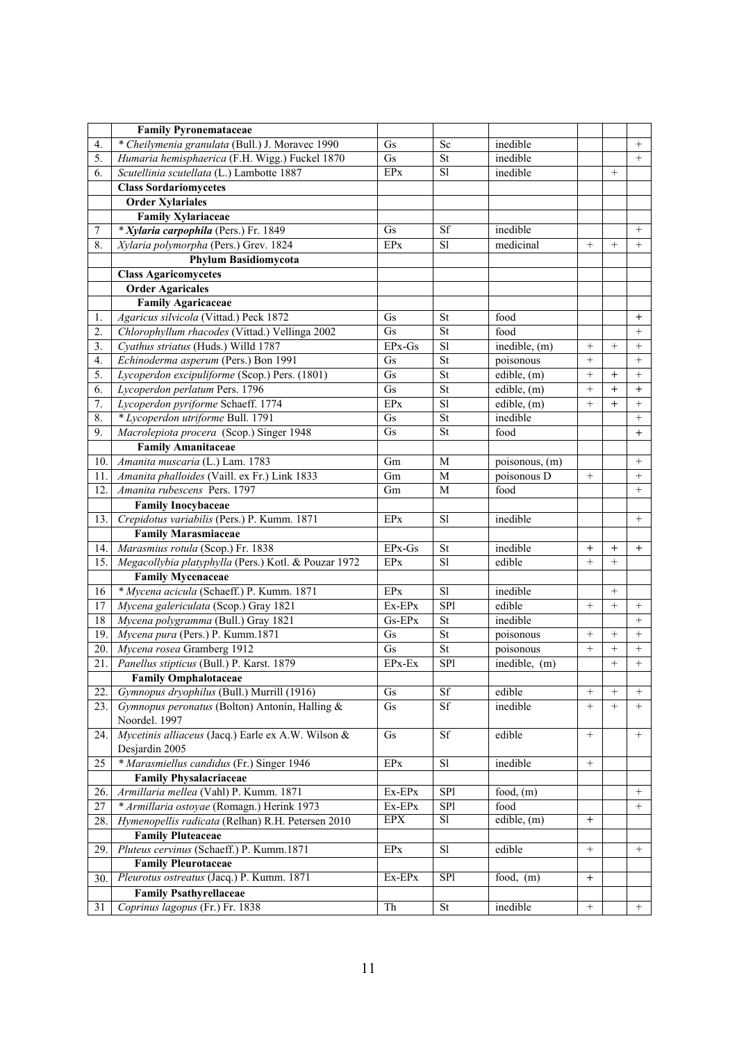|     | <b>Family Pyronemataceae</b>                         |            |                          |                  |                 |                 |                   |
|-----|------------------------------------------------------|------------|--------------------------|------------------|-----------------|-----------------|-------------------|
| 4.  | * Cheilymenia granulata (Bull.) J. Moravec 1990      | Gs         | Sc                       | inedible         |                 |                 | $^{+}$            |
| 5.  | Humaria hemisphaerica (F.H. Wigg.) Fuckel 1870       | Gs         | St                       | inedible         |                 |                 | $^{+}$            |
| 6.  | Scutellinia scutellata (L.) Lambotte 1887            | <b>EPx</b> | $\overline{SI}$          | inedible         |                 | $^{+}$          |                   |
|     | <b>Class Sordariomycetes</b>                         |            |                          |                  |                 |                 |                   |
|     | <b>Order Xylariales</b>                              |            |                          |                  |                 |                 |                   |
|     | <b>Family Xylariaceae</b>                            |            |                          |                  |                 |                 |                   |
| 7   | * Xylaria carpophila (Pers.) Fr. 1849                | Gs         | Sf                       | inedible         |                 |                 | $^{+}$            |
| 8.  | Xylaria polymorpha (Pers.) Grev. 1824                | EPx        | S1                       | medicinal        | $^{+}$          | $^{+}$          | $^{+}$            |
|     | <b>Phylum Basidiomycota</b>                          |            |                          |                  |                 |                 |                   |
|     | <b>Class Agaricomycetes</b>                          |            |                          |                  |                 |                 |                   |
|     | <b>Order Agaricales</b>                              |            |                          |                  |                 |                 |                   |
|     | <b>Family Agaricaceae</b>                            |            |                          |                  |                 |                 |                   |
| 1.  | Agaricus silvicola (Vittad.) Peck 1872               | Gs         | St                       | food             |                 |                 | $^{+}$            |
| 2.  | Chlorophyllum rhacodes (Vittad.) Vellinga 2002       | Gs         | St                       | food             |                 |                 | $^{+}$            |
| 3.  | Cyathus striatus (Huds.) Willd 1787                  | EPx-Gs     | S1                       | inedible, (m)    | $\! +$          | $\! + \!\!\!\!$ | $\! + \!\!\!\!$   |
| 4.  | Echinoderma asperum (Pers.) Bon 1991                 | Gs         | St                       | poisonous        |                 |                 | $^{+}$            |
| 5.  | Lycoperdon excipuliforme (Scop.) Pers. (1801)        | Gs         | St                       | edible, (m)      |                 | $\overline{+}$  | $\! + \!\!\!\!$   |
| 6.  | Lycoperdon perlatum Pers. 1796                       | Gs         | St                       | edible, (m)      | $\ddot{}$       | $^{+}$          | $^{+}$            |
| 7.  | Lycoperdon pyriforme Schaeff. 1774                   | EPx        | $\overline{sl}$          | $e$ dible, $(m)$ | $+$             | $+$             | $^{+}$            |
| 8.  | * Lycoperdon utriforme Bull. 1791                    | Gs         | St                       | inedible         |                 |                 | $\! + \!\!\!\!$   |
| 9.  | Macrolepiota procera (Scop.) Singer 1948             | Gs         | St                       | food             |                 |                 | $\boldsymbol{+}$  |
|     | <b>Family Amanitaceae</b>                            |            |                          |                  |                 |                 |                   |
| 10. | Amanita muscaria (L.) Lam. 1783                      | Gm         | M                        | poisonous, (m)   |                 |                 | $^{+}$            |
| 11. | Amanita phalloides (Vaill. ex Fr.) Link 1833         | Gm         | $\mathbf M$              | poisonous D      | $^{+}$          |                 | $^{+}$            |
| 12. | Amanita rubescens Pers. 1797                         | Gm         | M                        | food             |                 |                 | $^{+}$            |
|     | <b>Family Inocybaceae</b>                            |            |                          |                  |                 |                 |                   |
| 13. | Crepidotus variabilis (Pers.) P. Kumm. 1871          | <b>EPx</b> | S1                       | inedible         |                 |                 | $\boldsymbol{+}$  |
|     | <b>Family Marasmiaceae</b>                           |            |                          |                  |                 |                 |                   |
| 14. | Marasmius rotula (Scop.) Fr. 1838                    | $EPx-Gs$   | St                       | inedible         | $^{+}$          | $^{+}$          | $^{+}$            |
| 15. | Megacollybia platyphylla (Pers.) Kotl. & Pouzar 1972 | EPx        | S1                       | edible           | $^{+}$          |                 |                   |
|     | <b>Family Mycenaceae</b>                             |            |                          |                  |                 |                 |                   |
| 16  | * Mycena acicula (Schaeff.) P. Kumm. 1871            | EPx        | S1                       | inedible         |                 | $^+$            |                   |
| 17  | Mycena galericulata (Scop.) Gray 1821                | Ex-EPx     | SP1                      | edible           | $^{+}$          | $^{+}$          | $^{+}$            |
| 18  | Mycena polygramma (Bull.) Gray 1821                  | Gs-EPx     | <b>St</b>                | inedible         |                 |                 | $^{+}$            |
| 19. | Mycena pura (Pers.) P. Kumm.1871                     | Gs         | St                       | poisonous        | $^{+}$          | $^{+}$          | $^{+}$            |
| 20. | Mycena rosea Gramberg 1912                           | Gs         | $\overline{\mathsf{St}}$ | poisonous        |                 | $^{+}$          | $\boldsymbol{+}$  |
| 21. | Panellus stipticus (Bull.) P. Karst. 1879            | EPx-Ex     | SP1                      | inedible, (m)    |                 |                 | $^{+}$            |
|     | <b>Family Omphalotaceae</b>                          |            |                          |                  |                 |                 |                   |
| 22. | Gymnopus dryophilus (Bull.) Murrill (1916)           | Gs         | Sf                       | edible           |                 | $\! + \!\!\!\!$ | $^{+}$            |
| 23. | Gymnopus peronatus (Bolton) Antonín, Halling &       | Gs         | Sf                       | inedible         | $^{+}$          | $^{+}$          | $^{+}$            |
|     | Noordel. 1997                                        |            |                          |                  |                 |                 |                   |
| 24. | Mycetinis alliaceus (Jacq.) Earle ex A.W. Wilson &   | Gs         | Sf                       | edible           |                 |                 | $^{+}$            |
|     | Desjardin 2005                                       |            |                          |                  |                 |                 |                   |
| 25  | * Marasmiellus candidus (Fr.) Singer 1946            | $\rm EPx$  | S1                       | inedible         | $\! + \!\!\!\!$ |                 |                   |
|     | <b>Family Physalacriaceae</b>                        |            |                          |                  |                 |                 |                   |
| 26. | Armillaria mellea (Vahl) P. Kumm. 1871               | Ex-EPx     | SP1                      | food, $(m)$      |                 |                 | $\qquad \qquad +$ |
| 27  | * Armillaria ostoyae (Romagn.) Herink 1973           | Ex-EPx     | SP1                      | food             |                 |                 | $\qquad \qquad +$ |
| 28. | Hymenopellis radicata (Relhan) R.H. Petersen 2010    | <b>EPX</b> | S1                       | edible, $(m)$    | $+$             |                 |                   |
|     | <b>Family Pluteaceae</b>                             |            |                          |                  |                 |                 |                   |
| 29. | Pluteus cervinus (Schaeff.) P. Kumm.1871             | EPX        | S1                       | edible           | $\! + \!\!\!\!$ |                 | $^{+}$            |
|     | <b>Family Pleurotaceae</b>                           |            |                          |                  |                 |                 |                   |
| 30. | Pleurotus ostreatus (Jacq.) P. Kumm. 1871            | Ex-EPx     | SP <sub>1</sub>          | food, $(m)$      | $+$             |                 |                   |
|     | <b>Family Psathyrellaceae</b>                        |            |                          |                  |                 |                 |                   |
| 31  | Coprinus lagopus (Fr.) Fr. 1838                      | Th         | St                       | inedible         | $^+$            |                 | $^{+}$            |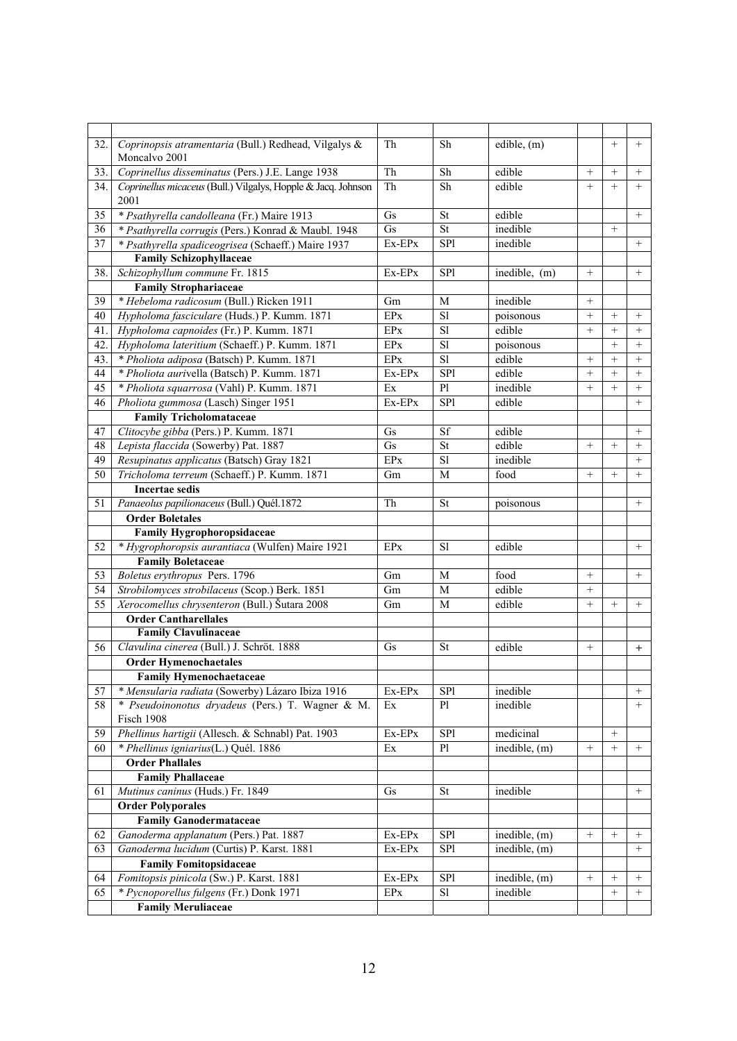| 32. | Coprinopsis atramentaria (Bull.) Redhead, Vilgalys &<br>Moncalvo 2001 | Th         | Sh              | edible, (m)                |                 | $^{+}$             | $+$               |
|-----|-----------------------------------------------------------------------|------------|-----------------|----------------------------|-----------------|--------------------|-------------------|
| 33. | Coprinellus disseminatus (Pers.) J.E. Lange 1938                      | Th         | Sh              | edible                     |                 | $^{+}$             | $+$               |
| 34. | Coprinellus micaceus (Bull.) Vilgalys, Hopple & Jacq. Johnson<br>2001 | Th         | Sh              | edible                     | $+$             | $\ddot{}$          | $+$               |
| 35  | * Psathyrella candolleana (Fr.) Maire 1913                            | Gs         | <b>St</b>       | edible                     |                 |                    | $+$               |
| 36  | * Psathyrella corrugis (Pers.) Konrad & Maubl. 1948                   | Gs         | St              | inedible                   |                 | $^{+}$             |                   |
| 37  | * Psathyrella spadiceogrisea (Schaeff.) Maire 1937                    | Ex-EPx     | SP1             | inedible                   |                 |                    | $\! + \!\!\!\!$   |
|     | <b>Family Schizophyllaceae</b>                                        |            |                 |                            |                 |                    |                   |
| 38. | Schizophyllum commune Fr. 1815                                        | Ex-EPx     | SP1             | inedible, (m)              | $^{+}$          |                    | $\! + \!\!\!\!$   |
|     | <b>Family Strophariaceae</b>                                          |            |                 |                            |                 |                    |                   |
| 39  | * Hebeloma radicosum (Bull.) Ricken 1911                              | Gm         | M               | inedible                   | $^{+}$          |                    |                   |
| 40  | Hypholoma fasciculare (Huds.) P. Kumm. 1871                           | <b>EPx</b> | S1              | poisonous                  | $^{+}$          | $^{+}$             | $^{+}$            |
| 41. | Hypholoma capnoides (Fr.) P. Kumm. 1871                               | <b>EPx</b> | S1              | edible                     | $+$             | $^{+}$             | $^{+}$            |
| 42. | Hypholoma lateritium (Schaeff.) P. Kumm. 1871                         | <b>EPx</b> | $\overline{sl}$ | poisonous                  |                 | $^{+}$             | $^{+}$            |
| 43. | * Pholiota adiposa (Batsch) P. Kumm. 1871                             | <b>EPx</b> | $\overline{sl}$ | edible                     | $^{+}$          | $^{+}$             | $^{+}$            |
| 44  | * Pholiota aurivella (Batsch) P. Kumm. 1871                           | Ex-EPx     | SP1             | edible                     | $^{+}$          | $^{+}$             | $^{+}$            |
| 45  | * Pholiota squarrosa (Vahl) P. Kumm. 1871                             | Ex         | P1              | inedible                   |                 | $^{+}$             | $^{+}$            |
| 46  | Pholiota gummosa (Lasch) Singer 1951                                  | Ex-EPx     | SP1             | edible                     |                 |                    | $\ddot{}$         |
|     | <b>Family Tricholomataceae</b>                                        |            |                 |                            |                 |                    |                   |
| 47  | Clitocybe gibba (Pers.) P. Kumm. 1871                                 | Gs         | Sf              | edible                     |                 |                    | $^{+}$            |
| 48  | Lepista flaccida (Sowerby) Pat. 1887                                  | Gs         | St              | edible                     | $^{+}$          | $+$                | $+$               |
| 49  | Resupinatus applicatus (Batsch) Gray 1821                             | <b>EPx</b> | $\overline{sl}$ | inedible                   |                 |                    | $^{+}$            |
| 50  | Tricholoma terreum (Schaeff.) P. Kumm. 1871                           | Gm         | M               | food                       | $+$             | $^{+}$             | $+$               |
|     | <b>Incertae sedis</b>                                                 |            |                 |                            |                 |                    |                   |
| 51  | Panaeolus papilionaceus (Bull.) Quél.1872                             | Th         | <b>St</b>       | poisonous                  |                 |                    | $\! + \!\!\!\!$   |
|     | <b>Order Boletales</b>                                                |            |                 |                            |                 |                    |                   |
|     | <b>Family Hygrophoropsidaceae</b>                                     |            |                 |                            |                 |                    |                   |
| 52  | * Hygrophoropsis aurantiaca (Wulfen) Maire 1921                       | EPx        | <sub>S1</sub>   | edible                     |                 |                    | $\! + \!\!\!\!$   |
|     | <b>Family Boletaceae</b>                                              |            |                 |                            |                 |                    |                   |
| 53  | Boletus erythropus Pers. 1796                                         | Gm         | M               | food                       | $^{+}$          |                    | $^{+}$            |
| 54  | Strobilomyces strobilaceus (Scop.) Berk. 1851                         | Gm         | M               | edible                     | $^{+}$          |                    |                   |
| 55  | Xerocomellus chrysenteron (Bull.) Šutara 2008                         | Gm         | M               | edible                     |                 | $^{+}$             | $^{+}$            |
|     | <b>Order Cantharellales</b>                                           |            |                 |                            |                 |                    |                   |
|     | <b>Family Clavulinaceae</b>                                           |            |                 |                            |                 |                    |                   |
| 56  | Clavulina cinerea (Bull.) J. Schröt. 1888                             | Gs         | St              | edible                     | $^{+}$          |                    | $+$               |
|     | <b>Order Hymenochaetales</b>                                          |            |                 |                            |                 |                    |                   |
|     | <b>Family Hymenochaetaceae</b>                                        |            |                 |                            |                 |                    |                   |
| 57  | * Mensularia radiata (Sowerby) Lázaro Ibiza 1916                      | Ex-EPx     | SP1             | inedible                   |                 |                    | $^{+}$            |
| 58  | * Pseudoinonotus dryadeus (Pers.) T. Wagner & M.                      |            | P1              | inedible                   |                 |                    | $^{+}$            |
|     | Fisch 1908                                                            | Ex         |                 |                            |                 |                    |                   |
| 59  | Phellinus hartigii (Allesch. & Schnabl) Pat. 1903                     | Ex-EPx     | SP1             | medicinal                  |                 | $^{+}$             |                   |
| 60  | * Phellinus igniarius(L.) Quél. 1886                                  | Ex         | P1              | inedible, (m)              | $^{+}$          | $^{+}$             | $^{+}$            |
|     | <b>Order Phallales</b>                                                |            |                 |                            |                 |                    |                   |
|     | <b>Family Phallaceae</b>                                              |            |                 |                            |                 |                    |                   |
|     |                                                                       |            |                 | inedible                   |                 |                    |                   |
| 61  | Mutinus caninus (Huds.) Fr. 1849                                      | Gs         | <b>St</b>       |                            |                 |                    | $\qquad \qquad +$ |
|     | <b>Order Polyporales</b><br><b>Family Ganodermataceae</b>             |            |                 |                            |                 |                    |                   |
|     |                                                                       |            |                 |                            |                 |                    |                   |
| 62  | Ganoderma applanatum (Pers.) Pat. 1887                                | Ex-EPx     | SP1             | inedible, (m)              | $\! + \!\!\!\!$ | $^{+}$             | $\! + \!\!\!\!$   |
| 63  | Ganoderma lucidum (Curtis) P. Karst. 1881                             | Ex-EPx     | SP1             | inedible, (m)              |                 |                    | $^{+}$            |
|     | <b>Family Fomitopsidaceae</b>                                         |            |                 |                            |                 |                    |                   |
| 64  | Fomitopsis pinicola (Sw.) P. Karst. 1881                              | $Ex-EPx$   | SP1             | inedible, $\overline{(m)}$ |                 | $\hspace{0.1mm} +$ | $^{+}$            |
| 65  | * Pycnoporellus fulgens (Fr.) Donk 1971                               | EPX        | S1              | inedible                   |                 | $^{+}$             | $^{+}$            |
|     | <b>Family Meruliaceae</b>                                             |            |                 |                            |                 |                    |                   |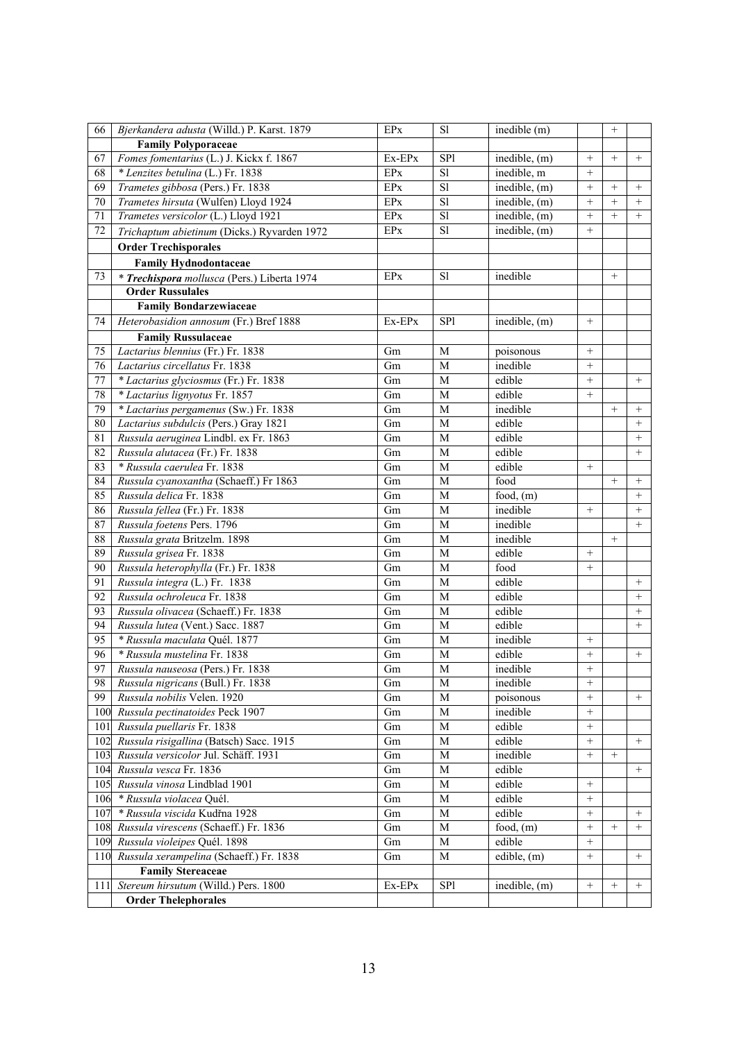| <b>Family Polyporaceae</b><br>Fomes fomentarius (L.) J. Kickx f. 1867<br>SP1<br>inedible, (m)<br>67<br>Ex-EPx<br>$^{+}$<br>$^{+}$<br>$^{+}$<br>* Lenzites betulina (L.) Fr. 1838<br>$\overline{sl}$<br>68<br>EPx<br>inedible, m<br>$^{+}$<br>$\overline{sl}$<br>inedible, $(m)$<br>69<br>Trametes gibbosa (Pers.) Fr. 1838<br><b>EPx</b><br>$^{+}$<br>$^{+}$<br>$^{+}$<br>$\overline{sl}$<br>$\ddot{}$<br>$^{+}$<br>Trametes hirsuta (Wulfen) Lloyd 1924<br><b>EPx</b><br>inedible, (m)<br>70<br>$+$<br>Trametes versicolor (L.) Lloyd 1921<br><b>EPx</b><br>S1<br>inedible, (m)<br>$^{+}$<br>71<br>$\! +$<br>$^{+}$<br>S1<br>$^{+}$<br>72<br>EPx<br>inedible, (m)<br>Trichaptum abietinum (Dicks.) Ryvarden 1972<br><b>Order Trechisporales</b><br><b>Family Hydnodontaceae</b><br>S1<br>inedible<br>$+$<br>73<br>EPx<br>* Trechispora mollusca (Pers.) Liberta 1974<br><b>Order Russulales</b><br><b>Family Bondarzewiaceae</b><br>Heterobasidion annosum (Fr.) Bref 1888<br>SP1<br>inedible, (m)<br>74<br>Ex-EPx<br><b>Family Russulaceae</b><br>Lactarius blennius (Fr.) Fr. 1838<br>M<br>75<br>Gm<br>poisonous<br>$^{+}$<br>76<br>Lactarius circellatus Fr. 1838<br>$\mathbf M$<br>inedible<br>Gm<br>$^{+}$<br>edible<br>77<br>* Lactarius glyciosmus (Fr.) Fr. 1838<br>Gm<br>M<br>$^{+}$<br>$\! + \!\!\!\!$<br>78<br>edible<br>* Lactarius lignyotus Fr. 1857<br>Gm<br>$\mathbf M$<br>$+$<br>79<br>* Lactarius pergamenus (Sw.) Fr. 1838<br>inedible<br>$^{+}$<br>Gm<br>M<br>$^{+}$<br>80<br>edible<br>Lactarius subdulcis (Pers.) Gray 1821<br>Gm<br>M<br>$^{+}$<br>edible<br>81<br>$\mathbf M$<br>$+$<br>Russula aeruginea Lindbl. ex Fr. 1863<br>Gm<br>82<br>$\mathbf M$<br>edible<br>$^{+}$<br>Russula alutacea (Fr.) Fr. 1838<br>Gm<br>83<br>* Russula caerulea Fr. 1838<br>$\mathbf M$<br>edible<br>Gm<br>84<br>Russula cyanoxantha (Schaeff.) Fr 1863<br>$\mathbf M$<br>food<br>Gm<br>$^{+}$<br>$^{+}$<br>85<br>Russula delica Fr. 1838<br>$\mathbf M$<br>Gm<br>food, $(m)$<br>$^{+}$<br>86<br>Russula fellea (Fr.) Fr. 1838<br>$\mathbf M$<br>inedible<br>Gm<br>$^{+}$<br>$\! + \!\!\!\!$<br>87<br>Russula foetens Pers. 1796<br>inedible<br>$^{+}$<br>Gm<br>M<br>88<br>inedible<br>Russula grata Britzelm. 1898<br>$\mathbf M$<br>$^{+}$<br>Gm<br>89<br>Russula grisea Fr. 1838<br>edible<br>Gm<br>M<br>$^{+}$<br>90<br>$\mathbf M$<br>food<br>$\boldsymbol{+}$<br>Russula heterophylla (Fr.) Fr. 1838<br>Gm<br>91<br>edible<br>Russula integra (L.) Fr. 1838<br>Gm<br>M<br>$^{+}$<br>92<br>Russula ochroleuca Fr. 1838<br>$\mathbf M$<br>edible<br>Gm<br>$\! + \!\!\!\!$<br>93<br>M<br>edible<br>Russula olivacea (Schaeff.) Fr. 1838<br>Gm<br>$\! + \!\!\!\!$<br>edible<br>94<br>Russula lutea (Vent.) Sacc. 1887<br>Gm<br>M<br>$+$<br>95<br>* Russula maculata Quél. 1877<br>$\mathbf M$<br>inedible<br>Gm<br>$^+$<br>edible<br>96<br>* Russula mustelina Fr. 1838<br>$^{+}$<br>Gm<br>M<br>$\! + \!\!\!\!$<br>97<br>Russula nauseosa (Pers.) Fr. 1838<br>Gm<br>inedible<br>$^{+}$<br>M<br>Russula nigricans (Bull.) Fr. 1838<br>inedible<br>$\! + \!\!\!\!$<br>98<br>Gm<br>M<br>99<br>Russula nobilis Velen. 1920<br>$^{+}$<br>M<br>Gm<br>$^{+}$<br>poisonous<br>$\! + \!\!\!\!$<br>100<br>Russula pectinatoides Peck 1907<br>M<br>inedible<br>Gm<br>$^{+}$<br>Russula puellaris Fr. 1838<br>$\mathbf M$<br>edible<br>101<br>Gm<br>102<br>Russula risigallina (Batsch) Sacc. 1915<br>$\mathbf M$<br>edible<br>$^{+}$<br>Gm<br>$^{+}$<br>Russula versicolor Jul. Schäff. 1931<br>$\mathbf M$<br>inedible<br>$^{+}$<br>103<br>Gm<br>$^{+}$<br>Russula vesca Fr. 1836<br>$\mathbf M$<br>edible<br>104<br>$^{+}$<br>Gm<br>edible<br>Russula vinosa Lindblad 1901<br>$\mathbf M$<br>105<br>Gm<br>$^{+}$<br>* Russula violacea Quél.<br>edible<br>106<br>Gm<br>M<br>$^{+}$<br>* Russula viscida Kudřna 1928<br>edible<br>107<br>Gm<br>М<br>$^{+}$<br>$^{+}$<br>108<br>Russula virescens (Schaeff.) Fr. 1836<br>Gm<br>M<br>food, $(m)$<br>$^{+}$<br>$^{+}$<br>$^{+}$<br>Russula violeipes Quél. 1898<br>109<br>edible<br>$^{+}$<br>Gm<br>M<br>Russula xerampelina (Schaeff.) Fr. 1838<br>$^+$<br>110<br>M<br>edible, (m)<br>$\qquad \qquad +$<br>Gm<br><b>Family Stereaceae</b><br>Stereum hirsutum (Willd.) Pers. 1800<br>SP1<br>inedible, (m)<br>$\! + \!\!\!\!$<br>$\! + \!\!\!\!$<br>111<br>Ex-EPx<br>$^{+}$ | 66 | Bjerkandera adusta (Willd.) P. Karst. 1879 | EPx | S1 | inedible (m) |  |  |
|-----------------------------------------------------------------------------------------------------------------------------------------------------------------------------------------------------------------------------------------------------------------------------------------------------------------------------------------------------------------------------------------------------------------------------------------------------------------------------------------------------------------------------------------------------------------------------------------------------------------------------------------------------------------------------------------------------------------------------------------------------------------------------------------------------------------------------------------------------------------------------------------------------------------------------------------------------------------------------------------------------------------------------------------------------------------------------------------------------------------------------------------------------------------------------------------------------------------------------------------------------------------------------------------------------------------------------------------------------------------------------------------------------------------------------------------------------------------------------------------------------------------------------------------------------------------------------------------------------------------------------------------------------------------------------------------------------------------------------------------------------------------------------------------------------------------------------------------------------------------------------------------------------------------------------------------------------------------------------------------------------------------------------------------------------------------------------------------------------------------------------------------------------------------------------------------------------------------------------------------------------------------------------------------------------------------------------------------------------------------------------------------------------------------------------------------------------------------------------------------------------------------------------------------------------------------------------------------------------------------------------------------------------------------------------------------------------------------------------------------------------------------------------------------------------------------------------------------------------------------------------------------------------------------------------------------------------------------------------------------------------------------------------------------------------------------------------------------------------------------------------------------------------------------------------------------------------------------------------------------------------------------------------------------------------------------------------------------------------------------------------------------------------------------------------------------------------------------------------------------------------------------------------------------------------------------------------------------------------------------------------------------------------------------------------------------------------------------------------------------------------------------------------------------------------------------------------------------------------------------------------------------------------------------------------------------------------------------------------------------------------------------------------------------------------------------------------------------------------------------------------------------------------------------------------------------------------------------------------------------------------------------------------------------------------------------------------|----|--------------------------------------------|-----|----|--------------|--|--|
|                                                                                                                                                                                                                                                                                                                                                                                                                                                                                                                                                                                                                                                                                                                                                                                                                                                                                                                                                                                                                                                                                                                                                                                                                                                                                                                                                                                                                                                                                                                                                                                                                                                                                                                                                                                                                                                                                                                                                                                                                                                                                                                                                                                                                                                                                                                                                                                                                                                                                                                                                                                                                                                                                                                                                                                                                                                                                                                                                                                                                                                                                                                                                                                                                                                                                                                                                                                                                                                                                                                                                                                                                                                                                                                                                                                                                                                                                                                                                                                                                                                                                                                                                                                                                                                                                                                             |    |                                            |     |    |              |  |  |
|                                                                                                                                                                                                                                                                                                                                                                                                                                                                                                                                                                                                                                                                                                                                                                                                                                                                                                                                                                                                                                                                                                                                                                                                                                                                                                                                                                                                                                                                                                                                                                                                                                                                                                                                                                                                                                                                                                                                                                                                                                                                                                                                                                                                                                                                                                                                                                                                                                                                                                                                                                                                                                                                                                                                                                                                                                                                                                                                                                                                                                                                                                                                                                                                                                                                                                                                                                                                                                                                                                                                                                                                                                                                                                                                                                                                                                                                                                                                                                                                                                                                                                                                                                                                                                                                                                                             |    |                                            |     |    |              |  |  |
|                                                                                                                                                                                                                                                                                                                                                                                                                                                                                                                                                                                                                                                                                                                                                                                                                                                                                                                                                                                                                                                                                                                                                                                                                                                                                                                                                                                                                                                                                                                                                                                                                                                                                                                                                                                                                                                                                                                                                                                                                                                                                                                                                                                                                                                                                                                                                                                                                                                                                                                                                                                                                                                                                                                                                                                                                                                                                                                                                                                                                                                                                                                                                                                                                                                                                                                                                                                                                                                                                                                                                                                                                                                                                                                                                                                                                                                                                                                                                                                                                                                                                                                                                                                                                                                                                                                             |    |                                            |     |    |              |  |  |
|                                                                                                                                                                                                                                                                                                                                                                                                                                                                                                                                                                                                                                                                                                                                                                                                                                                                                                                                                                                                                                                                                                                                                                                                                                                                                                                                                                                                                                                                                                                                                                                                                                                                                                                                                                                                                                                                                                                                                                                                                                                                                                                                                                                                                                                                                                                                                                                                                                                                                                                                                                                                                                                                                                                                                                                                                                                                                                                                                                                                                                                                                                                                                                                                                                                                                                                                                                                                                                                                                                                                                                                                                                                                                                                                                                                                                                                                                                                                                                                                                                                                                                                                                                                                                                                                                                                             |    |                                            |     |    |              |  |  |
|                                                                                                                                                                                                                                                                                                                                                                                                                                                                                                                                                                                                                                                                                                                                                                                                                                                                                                                                                                                                                                                                                                                                                                                                                                                                                                                                                                                                                                                                                                                                                                                                                                                                                                                                                                                                                                                                                                                                                                                                                                                                                                                                                                                                                                                                                                                                                                                                                                                                                                                                                                                                                                                                                                                                                                                                                                                                                                                                                                                                                                                                                                                                                                                                                                                                                                                                                                                                                                                                                                                                                                                                                                                                                                                                                                                                                                                                                                                                                                                                                                                                                                                                                                                                                                                                                                                             |    |                                            |     |    |              |  |  |
|                                                                                                                                                                                                                                                                                                                                                                                                                                                                                                                                                                                                                                                                                                                                                                                                                                                                                                                                                                                                                                                                                                                                                                                                                                                                                                                                                                                                                                                                                                                                                                                                                                                                                                                                                                                                                                                                                                                                                                                                                                                                                                                                                                                                                                                                                                                                                                                                                                                                                                                                                                                                                                                                                                                                                                                                                                                                                                                                                                                                                                                                                                                                                                                                                                                                                                                                                                                                                                                                                                                                                                                                                                                                                                                                                                                                                                                                                                                                                                                                                                                                                                                                                                                                                                                                                                                             |    |                                            |     |    |              |  |  |
|                                                                                                                                                                                                                                                                                                                                                                                                                                                                                                                                                                                                                                                                                                                                                                                                                                                                                                                                                                                                                                                                                                                                                                                                                                                                                                                                                                                                                                                                                                                                                                                                                                                                                                                                                                                                                                                                                                                                                                                                                                                                                                                                                                                                                                                                                                                                                                                                                                                                                                                                                                                                                                                                                                                                                                                                                                                                                                                                                                                                                                                                                                                                                                                                                                                                                                                                                                                                                                                                                                                                                                                                                                                                                                                                                                                                                                                                                                                                                                                                                                                                                                                                                                                                                                                                                                                             |    |                                            |     |    |              |  |  |
|                                                                                                                                                                                                                                                                                                                                                                                                                                                                                                                                                                                                                                                                                                                                                                                                                                                                                                                                                                                                                                                                                                                                                                                                                                                                                                                                                                                                                                                                                                                                                                                                                                                                                                                                                                                                                                                                                                                                                                                                                                                                                                                                                                                                                                                                                                                                                                                                                                                                                                                                                                                                                                                                                                                                                                                                                                                                                                                                                                                                                                                                                                                                                                                                                                                                                                                                                                                                                                                                                                                                                                                                                                                                                                                                                                                                                                                                                                                                                                                                                                                                                                                                                                                                                                                                                                                             |    |                                            |     |    |              |  |  |
|                                                                                                                                                                                                                                                                                                                                                                                                                                                                                                                                                                                                                                                                                                                                                                                                                                                                                                                                                                                                                                                                                                                                                                                                                                                                                                                                                                                                                                                                                                                                                                                                                                                                                                                                                                                                                                                                                                                                                                                                                                                                                                                                                                                                                                                                                                                                                                                                                                                                                                                                                                                                                                                                                                                                                                                                                                                                                                                                                                                                                                                                                                                                                                                                                                                                                                                                                                                                                                                                                                                                                                                                                                                                                                                                                                                                                                                                                                                                                                                                                                                                                                                                                                                                                                                                                                                             |    |                                            |     |    |              |  |  |
|                                                                                                                                                                                                                                                                                                                                                                                                                                                                                                                                                                                                                                                                                                                                                                                                                                                                                                                                                                                                                                                                                                                                                                                                                                                                                                                                                                                                                                                                                                                                                                                                                                                                                                                                                                                                                                                                                                                                                                                                                                                                                                                                                                                                                                                                                                                                                                                                                                                                                                                                                                                                                                                                                                                                                                                                                                                                                                                                                                                                                                                                                                                                                                                                                                                                                                                                                                                                                                                                                                                                                                                                                                                                                                                                                                                                                                                                                                                                                                                                                                                                                                                                                                                                                                                                                                                             |    |                                            |     |    |              |  |  |
|                                                                                                                                                                                                                                                                                                                                                                                                                                                                                                                                                                                                                                                                                                                                                                                                                                                                                                                                                                                                                                                                                                                                                                                                                                                                                                                                                                                                                                                                                                                                                                                                                                                                                                                                                                                                                                                                                                                                                                                                                                                                                                                                                                                                                                                                                                                                                                                                                                                                                                                                                                                                                                                                                                                                                                                                                                                                                                                                                                                                                                                                                                                                                                                                                                                                                                                                                                                                                                                                                                                                                                                                                                                                                                                                                                                                                                                                                                                                                                                                                                                                                                                                                                                                                                                                                                                             |    |                                            |     |    |              |  |  |
|                                                                                                                                                                                                                                                                                                                                                                                                                                                                                                                                                                                                                                                                                                                                                                                                                                                                                                                                                                                                                                                                                                                                                                                                                                                                                                                                                                                                                                                                                                                                                                                                                                                                                                                                                                                                                                                                                                                                                                                                                                                                                                                                                                                                                                                                                                                                                                                                                                                                                                                                                                                                                                                                                                                                                                                                                                                                                                                                                                                                                                                                                                                                                                                                                                                                                                                                                                                                                                                                                                                                                                                                                                                                                                                                                                                                                                                                                                                                                                                                                                                                                                                                                                                                                                                                                                                             |    |                                            |     |    |              |  |  |
|                                                                                                                                                                                                                                                                                                                                                                                                                                                                                                                                                                                                                                                                                                                                                                                                                                                                                                                                                                                                                                                                                                                                                                                                                                                                                                                                                                                                                                                                                                                                                                                                                                                                                                                                                                                                                                                                                                                                                                                                                                                                                                                                                                                                                                                                                                                                                                                                                                                                                                                                                                                                                                                                                                                                                                                                                                                                                                                                                                                                                                                                                                                                                                                                                                                                                                                                                                                                                                                                                                                                                                                                                                                                                                                                                                                                                                                                                                                                                                                                                                                                                                                                                                                                                                                                                                                             |    |                                            |     |    |              |  |  |
|                                                                                                                                                                                                                                                                                                                                                                                                                                                                                                                                                                                                                                                                                                                                                                                                                                                                                                                                                                                                                                                                                                                                                                                                                                                                                                                                                                                                                                                                                                                                                                                                                                                                                                                                                                                                                                                                                                                                                                                                                                                                                                                                                                                                                                                                                                                                                                                                                                                                                                                                                                                                                                                                                                                                                                                                                                                                                                                                                                                                                                                                                                                                                                                                                                                                                                                                                                                                                                                                                                                                                                                                                                                                                                                                                                                                                                                                                                                                                                                                                                                                                                                                                                                                                                                                                                                             |    |                                            |     |    |              |  |  |
|                                                                                                                                                                                                                                                                                                                                                                                                                                                                                                                                                                                                                                                                                                                                                                                                                                                                                                                                                                                                                                                                                                                                                                                                                                                                                                                                                                                                                                                                                                                                                                                                                                                                                                                                                                                                                                                                                                                                                                                                                                                                                                                                                                                                                                                                                                                                                                                                                                                                                                                                                                                                                                                                                                                                                                                                                                                                                                                                                                                                                                                                                                                                                                                                                                                                                                                                                                                                                                                                                                                                                                                                                                                                                                                                                                                                                                                                                                                                                                                                                                                                                                                                                                                                                                                                                                                             |    |                                            |     |    |              |  |  |
|                                                                                                                                                                                                                                                                                                                                                                                                                                                                                                                                                                                                                                                                                                                                                                                                                                                                                                                                                                                                                                                                                                                                                                                                                                                                                                                                                                                                                                                                                                                                                                                                                                                                                                                                                                                                                                                                                                                                                                                                                                                                                                                                                                                                                                                                                                                                                                                                                                                                                                                                                                                                                                                                                                                                                                                                                                                                                                                                                                                                                                                                                                                                                                                                                                                                                                                                                                                                                                                                                                                                                                                                                                                                                                                                                                                                                                                                                                                                                                                                                                                                                                                                                                                                                                                                                                                             |    |                                            |     |    |              |  |  |
|                                                                                                                                                                                                                                                                                                                                                                                                                                                                                                                                                                                                                                                                                                                                                                                                                                                                                                                                                                                                                                                                                                                                                                                                                                                                                                                                                                                                                                                                                                                                                                                                                                                                                                                                                                                                                                                                                                                                                                                                                                                                                                                                                                                                                                                                                                                                                                                                                                                                                                                                                                                                                                                                                                                                                                                                                                                                                                                                                                                                                                                                                                                                                                                                                                                                                                                                                                                                                                                                                                                                                                                                                                                                                                                                                                                                                                                                                                                                                                                                                                                                                                                                                                                                                                                                                                                             |    |                                            |     |    |              |  |  |
|                                                                                                                                                                                                                                                                                                                                                                                                                                                                                                                                                                                                                                                                                                                                                                                                                                                                                                                                                                                                                                                                                                                                                                                                                                                                                                                                                                                                                                                                                                                                                                                                                                                                                                                                                                                                                                                                                                                                                                                                                                                                                                                                                                                                                                                                                                                                                                                                                                                                                                                                                                                                                                                                                                                                                                                                                                                                                                                                                                                                                                                                                                                                                                                                                                                                                                                                                                                                                                                                                                                                                                                                                                                                                                                                                                                                                                                                                                                                                                                                                                                                                                                                                                                                                                                                                                                             |    |                                            |     |    |              |  |  |
|                                                                                                                                                                                                                                                                                                                                                                                                                                                                                                                                                                                                                                                                                                                                                                                                                                                                                                                                                                                                                                                                                                                                                                                                                                                                                                                                                                                                                                                                                                                                                                                                                                                                                                                                                                                                                                                                                                                                                                                                                                                                                                                                                                                                                                                                                                                                                                                                                                                                                                                                                                                                                                                                                                                                                                                                                                                                                                                                                                                                                                                                                                                                                                                                                                                                                                                                                                                                                                                                                                                                                                                                                                                                                                                                                                                                                                                                                                                                                                                                                                                                                                                                                                                                                                                                                                                             |    |                                            |     |    |              |  |  |
|                                                                                                                                                                                                                                                                                                                                                                                                                                                                                                                                                                                                                                                                                                                                                                                                                                                                                                                                                                                                                                                                                                                                                                                                                                                                                                                                                                                                                                                                                                                                                                                                                                                                                                                                                                                                                                                                                                                                                                                                                                                                                                                                                                                                                                                                                                                                                                                                                                                                                                                                                                                                                                                                                                                                                                                                                                                                                                                                                                                                                                                                                                                                                                                                                                                                                                                                                                                                                                                                                                                                                                                                                                                                                                                                                                                                                                                                                                                                                                                                                                                                                                                                                                                                                                                                                                                             |    |                                            |     |    |              |  |  |
|                                                                                                                                                                                                                                                                                                                                                                                                                                                                                                                                                                                                                                                                                                                                                                                                                                                                                                                                                                                                                                                                                                                                                                                                                                                                                                                                                                                                                                                                                                                                                                                                                                                                                                                                                                                                                                                                                                                                                                                                                                                                                                                                                                                                                                                                                                                                                                                                                                                                                                                                                                                                                                                                                                                                                                                                                                                                                                                                                                                                                                                                                                                                                                                                                                                                                                                                                                                                                                                                                                                                                                                                                                                                                                                                                                                                                                                                                                                                                                                                                                                                                                                                                                                                                                                                                                                             |    |                                            |     |    |              |  |  |
|                                                                                                                                                                                                                                                                                                                                                                                                                                                                                                                                                                                                                                                                                                                                                                                                                                                                                                                                                                                                                                                                                                                                                                                                                                                                                                                                                                                                                                                                                                                                                                                                                                                                                                                                                                                                                                                                                                                                                                                                                                                                                                                                                                                                                                                                                                                                                                                                                                                                                                                                                                                                                                                                                                                                                                                                                                                                                                                                                                                                                                                                                                                                                                                                                                                                                                                                                                                                                                                                                                                                                                                                                                                                                                                                                                                                                                                                                                                                                                                                                                                                                                                                                                                                                                                                                                                             |    |                                            |     |    |              |  |  |
|                                                                                                                                                                                                                                                                                                                                                                                                                                                                                                                                                                                                                                                                                                                                                                                                                                                                                                                                                                                                                                                                                                                                                                                                                                                                                                                                                                                                                                                                                                                                                                                                                                                                                                                                                                                                                                                                                                                                                                                                                                                                                                                                                                                                                                                                                                                                                                                                                                                                                                                                                                                                                                                                                                                                                                                                                                                                                                                                                                                                                                                                                                                                                                                                                                                                                                                                                                                                                                                                                                                                                                                                                                                                                                                                                                                                                                                                                                                                                                                                                                                                                                                                                                                                                                                                                                                             |    |                                            |     |    |              |  |  |
|                                                                                                                                                                                                                                                                                                                                                                                                                                                                                                                                                                                                                                                                                                                                                                                                                                                                                                                                                                                                                                                                                                                                                                                                                                                                                                                                                                                                                                                                                                                                                                                                                                                                                                                                                                                                                                                                                                                                                                                                                                                                                                                                                                                                                                                                                                                                                                                                                                                                                                                                                                                                                                                                                                                                                                                                                                                                                                                                                                                                                                                                                                                                                                                                                                                                                                                                                                                                                                                                                                                                                                                                                                                                                                                                                                                                                                                                                                                                                                                                                                                                                                                                                                                                                                                                                                                             |    |                                            |     |    |              |  |  |
|                                                                                                                                                                                                                                                                                                                                                                                                                                                                                                                                                                                                                                                                                                                                                                                                                                                                                                                                                                                                                                                                                                                                                                                                                                                                                                                                                                                                                                                                                                                                                                                                                                                                                                                                                                                                                                                                                                                                                                                                                                                                                                                                                                                                                                                                                                                                                                                                                                                                                                                                                                                                                                                                                                                                                                                                                                                                                                                                                                                                                                                                                                                                                                                                                                                                                                                                                                                                                                                                                                                                                                                                                                                                                                                                                                                                                                                                                                                                                                                                                                                                                                                                                                                                                                                                                                                             |    |                                            |     |    |              |  |  |
|                                                                                                                                                                                                                                                                                                                                                                                                                                                                                                                                                                                                                                                                                                                                                                                                                                                                                                                                                                                                                                                                                                                                                                                                                                                                                                                                                                                                                                                                                                                                                                                                                                                                                                                                                                                                                                                                                                                                                                                                                                                                                                                                                                                                                                                                                                                                                                                                                                                                                                                                                                                                                                                                                                                                                                                                                                                                                                                                                                                                                                                                                                                                                                                                                                                                                                                                                                                                                                                                                                                                                                                                                                                                                                                                                                                                                                                                                                                                                                                                                                                                                                                                                                                                                                                                                                                             |    |                                            |     |    |              |  |  |
|                                                                                                                                                                                                                                                                                                                                                                                                                                                                                                                                                                                                                                                                                                                                                                                                                                                                                                                                                                                                                                                                                                                                                                                                                                                                                                                                                                                                                                                                                                                                                                                                                                                                                                                                                                                                                                                                                                                                                                                                                                                                                                                                                                                                                                                                                                                                                                                                                                                                                                                                                                                                                                                                                                                                                                                                                                                                                                                                                                                                                                                                                                                                                                                                                                                                                                                                                                                                                                                                                                                                                                                                                                                                                                                                                                                                                                                                                                                                                                                                                                                                                                                                                                                                                                                                                                                             |    |                                            |     |    |              |  |  |
|                                                                                                                                                                                                                                                                                                                                                                                                                                                                                                                                                                                                                                                                                                                                                                                                                                                                                                                                                                                                                                                                                                                                                                                                                                                                                                                                                                                                                                                                                                                                                                                                                                                                                                                                                                                                                                                                                                                                                                                                                                                                                                                                                                                                                                                                                                                                                                                                                                                                                                                                                                                                                                                                                                                                                                                                                                                                                                                                                                                                                                                                                                                                                                                                                                                                                                                                                                                                                                                                                                                                                                                                                                                                                                                                                                                                                                                                                                                                                                                                                                                                                                                                                                                                                                                                                                                             |    |                                            |     |    |              |  |  |
|                                                                                                                                                                                                                                                                                                                                                                                                                                                                                                                                                                                                                                                                                                                                                                                                                                                                                                                                                                                                                                                                                                                                                                                                                                                                                                                                                                                                                                                                                                                                                                                                                                                                                                                                                                                                                                                                                                                                                                                                                                                                                                                                                                                                                                                                                                                                                                                                                                                                                                                                                                                                                                                                                                                                                                                                                                                                                                                                                                                                                                                                                                                                                                                                                                                                                                                                                                                                                                                                                                                                                                                                                                                                                                                                                                                                                                                                                                                                                                                                                                                                                                                                                                                                                                                                                                                             |    |                                            |     |    |              |  |  |
|                                                                                                                                                                                                                                                                                                                                                                                                                                                                                                                                                                                                                                                                                                                                                                                                                                                                                                                                                                                                                                                                                                                                                                                                                                                                                                                                                                                                                                                                                                                                                                                                                                                                                                                                                                                                                                                                                                                                                                                                                                                                                                                                                                                                                                                                                                                                                                                                                                                                                                                                                                                                                                                                                                                                                                                                                                                                                                                                                                                                                                                                                                                                                                                                                                                                                                                                                                                                                                                                                                                                                                                                                                                                                                                                                                                                                                                                                                                                                                                                                                                                                                                                                                                                                                                                                                                             |    |                                            |     |    |              |  |  |
|                                                                                                                                                                                                                                                                                                                                                                                                                                                                                                                                                                                                                                                                                                                                                                                                                                                                                                                                                                                                                                                                                                                                                                                                                                                                                                                                                                                                                                                                                                                                                                                                                                                                                                                                                                                                                                                                                                                                                                                                                                                                                                                                                                                                                                                                                                                                                                                                                                                                                                                                                                                                                                                                                                                                                                                                                                                                                                                                                                                                                                                                                                                                                                                                                                                                                                                                                                                                                                                                                                                                                                                                                                                                                                                                                                                                                                                                                                                                                                                                                                                                                                                                                                                                                                                                                                                             |    |                                            |     |    |              |  |  |
|                                                                                                                                                                                                                                                                                                                                                                                                                                                                                                                                                                                                                                                                                                                                                                                                                                                                                                                                                                                                                                                                                                                                                                                                                                                                                                                                                                                                                                                                                                                                                                                                                                                                                                                                                                                                                                                                                                                                                                                                                                                                                                                                                                                                                                                                                                                                                                                                                                                                                                                                                                                                                                                                                                                                                                                                                                                                                                                                                                                                                                                                                                                                                                                                                                                                                                                                                                                                                                                                                                                                                                                                                                                                                                                                                                                                                                                                                                                                                                                                                                                                                                                                                                                                                                                                                                                             |    |                                            |     |    |              |  |  |
|                                                                                                                                                                                                                                                                                                                                                                                                                                                                                                                                                                                                                                                                                                                                                                                                                                                                                                                                                                                                                                                                                                                                                                                                                                                                                                                                                                                                                                                                                                                                                                                                                                                                                                                                                                                                                                                                                                                                                                                                                                                                                                                                                                                                                                                                                                                                                                                                                                                                                                                                                                                                                                                                                                                                                                                                                                                                                                                                                                                                                                                                                                                                                                                                                                                                                                                                                                                                                                                                                                                                                                                                                                                                                                                                                                                                                                                                                                                                                                                                                                                                                                                                                                                                                                                                                                                             |    |                                            |     |    |              |  |  |
|                                                                                                                                                                                                                                                                                                                                                                                                                                                                                                                                                                                                                                                                                                                                                                                                                                                                                                                                                                                                                                                                                                                                                                                                                                                                                                                                                                                                                                                                                                                                                                                                                                                                                                                                                                                                                                                                                                                                                                                                                                                                                                                                                                                                                                                                                                                                                                                                                                                                                                                                                                                                                                                                                                                                                                                                                                                                                                                                                                                                                                                                                                                                                                                                                                                                                                                                                                                                                                                                                                                                                                                                                                                                                                                                                                                                                                                                                                                                                                                                                                                                                                                                                                                                                                                                                                                             |    |                                            |     |    |              |  |  |
|                                                                                                                                                                                                                                                                                                                                                                                                                                                                                                                                                                                                                                                                                                                                                                                                                                                                                                                                                                                                                                                                                                                                                                                                                                                                                                                                                                                                                                                                                                                                                                                                                                                                                                                                                                                                                                                                                                                                                                                                                                                                                                                                                                                                                                                                                                                                                                                                                                                                                                                                                                                                                                                                                                                                                                                                                                                                                                                                                                                                                                                                                                                                                                                                                                                                                                                                                                                                                                                                                                                                                                                                                                                                                                                                                                                                                                                                                                                                                                                                                                                                                                                                                                                                                                                                                                                             |    |                                            |     |    |              |  |  |
|                                                                                                                                                                                                                                                                                                                                                                                                                                                                                                                                                                                                                                                                                                                                                                                                                                                                                                                                                                                                                                                                                                                                                                                                                                                                                                                                                                                                                                                                                                                                                                                                                                                                                                                                                                                                                                                                                                                                                                                                                                                                                                                                                                                                                                                                                                                                                                                                                                                                                                                                                                                                                                                                                                                                                                                                                                                                                                                                                                                                                                                                                                                                                                                                                                                                                                                                                                                                                                                                                                                                                                                                                                                                                                                                                                                                                                                                                                                                                                                                                                                                                                                                                                                                                                                                                                                             |    |                                            |     |    |              |  |  |
|                                                                                                                                                                                                                                                                                                                                                                                                                                                                                                                                                                                                                                                                                                                                                                                                                                                                                                                                                                                                                                                                                                                                                                                                                                                                                                                                                                                                                                                                                                                                                                                                                                                                                                                                                                                                                                                                                                                                                                                                                                                                                                                                                                                                                                                                                                                                                                                                                                                                                                                                                                                                                                                                                                                                                                                                                                                                                                                                                                                                                                                                                                                                                                                                                                                                                                                                                                                                                                                                                                                                                                                                                                                                                                                                                                                                                                                                                                                                                                                                                                                                                                                                                                                                                                                                                                                             |    |                                            |     |    |              |  |  |
|                                                                                                                                                                                                                                                                                                                                                                                                                                                                                                                                                                                                                                                                                                                                                                                                                                                                                                                                                                                                                                                                                                                                                                                                                                                                                                                                                                                                                                                                                                                                                                                                                                                                                                                                                                                                                                                                                                                                                                                                                                                                                                                                                                                                                                                                                                                                                                                                                                                                                                                                                                                                                                                                                                                                                                                                                                                                                                                                                                                                                                                                                                                                                                                                                                                                                                                                                                                                                                                                                                                                                                                                                                                                                                                                                                                                                                                                                                                                                                                                                                                                                                                                                                                                                                                                                                                             |    |                                            |     |    |              |  |  |
|                                                                                                                                                                                                                                                                                                                                                                                                                                                                                                                                                                                                                                                                                                                                                                                                                                                                                                                                                                                                                                                                                                                                                                                                                                                                                                                                                                                                                                                                                                                                                                                                                                                                                                                                                                                                                                                                                                                                                                                                                                                                                                                                                                                                                                                                                                                                                                                                                                                                                                                                                                                                                                                                                                                                                                                                                                                                                                                                                                                                                                                                                                                                                                                                                                                                                                                                                                                                                                                                                                                                                                                                                                                                                                                                                                                                                                                                                                                                                                                                                                                                                                                                                                                                                                                                                                                             |    |                                            |     |    |              |  |  |
|                                                                                                                                                                                                                                                                                                                                                                                                                                                                                                                                                                                                                                                                                                                                                                                                                                                                                                                                                                                                                                                                                                                                                                                                                                                                                                                                                                                                                                                                                                                                                                                                                                                                                                                                                                                                                                                                                                                                                                                                                                                                                                                                                                                                                                                                                                                                                                                                                                                                                                                                                                                                                                                                                                                                                                                                                                                                                                                                                                                                                                                                                                                                                                                                                                                                                                                                                                                                                                                                                                                                                                                                                                                                                                                                                                                                                                                                                                                                                                                                                                                                                                                                                                                                                                                                                                                             |    |                                            |     |    |              |  |  |
|                                                                                                                                                                                                                                                                                                                                                                                                                                                                                                                                                                                                                                                                                                                                                                                                                                                                                                                                                                                                                                                                                                                                                                                                                                                                                                                                                                                                                                                                                                                                                                                                                                                                                                                                                                                                                                                                                                                                                                                                                                                                                                                                                                                                                                                                                                                                                                                                                                                                                                                                                                                                                                                                                                                                                                                                                                                                                                                                                                                                                                                                                                                                                                                                                                                                                                                                                                                                                                                                                                                                                                                                                                                                                                                                                                                                                                                                                                                                                                                                                                                                                                                                                                                                                                                                                                                             |    |                                            |     |    |              |  |  |
|                                                                                                                                                                                                                                                                                                                                                                                                                                                                                                                                                                                                                                                                                                                                                                                                                                                                                                                                                                                                                                                                                                                                                                                                                                                                                                                                                                                                                                                                                                                                                                                                                                                                                                                                                                                                                                                                                                                                                                                                                                                                                                                                                                                                                                                                                                                                                                                                                                                                                                                                                                                                                                                                                                                                                                                                                                                                                                                                                                                                                                                                                                                                                                                                                                                                                                                                                                                                                                                                                                                                                                                                                                                                                                                                                                                                                                                                                                                                                                                                                                                                                                                                                                                                                                                                                                                             |    |                                            |     |    |              |  |  |
|                                                                                                                                                                                                                                                                                                                                                                                                                                                                                                                                                                                                                                                                                                                                                                                                                                                                                                                                                                                                                                                                                                                                                                                                                                                                                                                                                                                                                                                                                                                                                                                                                                                                                                                                                                                                                                                                                                                                                                                                                                                                                                                                                                                                                                                                                                                                                                                                                                                                                                                                                                                                                                                                                                                                                                                                                                                                                                                                                                                                                                                                                                                                                                                                                                                                                                                                                                                                                                                                                                                                                                                                                                                                                                                                                                                                                                                                                                                                                                                                                                                                                                                                                                                                                                                                                                                             |    |                                            |     |    |              |  |  |
|                                                                                                                                                                                                                                                                                                                                                                                                                                                                                                                                                                                                                                                                                                                                                                                                                                                                                                                                                                                                                                                                                                                                                                                                                                                                                                                                                                                                                                                                                                                                                                                                                                                                                                                                                                                                                                                                                                                                                                                                                                                                                                                                                                                                                                                                                                                                                                                                                                                                                                                                                                                                                                                                                                                                                                                                                                                                                                                                                                                                                                                                                                                                                                                                                                                                                                                                                                                                                                                                                                                                                                                                                                                                                                                                                                                                                                                                                                                                                                                                                                                                                                                                                                                                                                                                                                                             |    |                                            |     |    |              |  |  |
|                                                                                                                                                                                                                                                                                                                                                                                                                                                                                                                                                                                                                                                                                                                                                                                                                                                                                                                                                                                                                                                                                                                                                                                                                                                                                                                                                                                                                                                                                                                                                                                                                                                                                                                                                                                                                                                                                                                                                                                                                                                                                                                                                                                                                                                                                                                                                                                                                                                                                                                                                                                                                                                                                                                                                                                                                                                                                                                                                                                                                                                                                                                                                                                                                                                                                                                                                                                                                                                                                                                                                                                                                                                                                                                                                                                                                                                                                                                                                                                                                                                                                                                                                                                                                                                                                                                             |    |                                            |     |    |              |  |  |
|                                                                                                                                                                                                                                                                                                                                                                                                                                                                                                                                                                                                                                                                                                                                                                                                                                                                                                                                                                                                                                                                                                                                                                                                                                                                                                                                                                                                                                                                                                                                                                                                                                                                                                                                                                                                                                                                                                                                                                                                                                                                                                                                                                                                                                                                                                                                                                                                                                                                                                                                                                                                                                                                                                                                                                                                                                                                                                                                                                                                                                                                                                                                                                                                                                                                                                                                                                                                                                                                                                                                                                                                                                                                                                                                                                                                                                                                                                                                                                                                                                                                                                                                                                                                                                                                                                                             |    |                                            |     |    |              |  |  |
|                                                                                                                                                                                                                                                                                                                                                                                                                                                                                                                                                                                                                                                                                                                                                                                                                                                                                                                                                                                                                                                                                                                                                                                                                                                                                                                                                                                                                                                                                                                                                                                                                                                                                                                                                                                                                                                                                                                                                                                                                                                                                                                                                                                                                                                                                                                                                                                                                                                                                                                                                                                                                                                                                                                                                                                                                                                                                                                                                                                                                                                                                                                                                                                                                                                                                                                                                                                                                                                                                                                                                                                                                                                                                                                                                                                                                                                                                                                                                                                                                                                                                                                                                                                                                                                                                                                             |    |                                            |     |    |              |  |  |
|                                                                                                                                                                                                                                                                                                                                                                                                                                                                                                                                                                                                                                                                                                                                                                                                                                                                                                                                                                                                                                                                                                                                                                                                                                                                                                                                                                                                                                                                                                                                                                                                                                                                                                                                                                                                                                                                                                                                                                                                                                                                                                                                                                                                                                                                                                                                                                                                                                                                                                                                                                                                                                                                                                                                                                                                                                                                                                                                                                                                                                                                                                                                                                                                                                                                                                                                                                                                                                                                                                                                                                                                                                                                                                                                                                                                                                                                                                                                                                                                                                                                                                                                                                                                                                                                                                                             |    |                                            |     |    |              |  |  |
|                                                                                                                                                                                                                                                                                                                                                                                                                                                                                                                                                                                                                                                                                                                                                                                                                                                                                                                                                                                                                                                                                                                                                                                                                                                                                                                                                                                                                                                                                                                                                                                                                                                                                                                                                                                                                                                                                                                                                                                                                                                                                                                                                                                                                                                                                                                                                                                                                                                                                                                                                                                                                                                                                                                                                                                                                                                                                                                                                                                                                                                                                                                                                                                                                                                                                                                                                                                                                                                                                                                                                                                                                                                                                                                                                                                                                                                                                                                                                                                                                                                                                                                                                                                                                                                                                                                             |    |                                            |     |    |              |  |  |
|                                                                                                                                                                                                                                                                                                                                                                                                                                                                                                                                                                                                                                                                                                                                                                                                                                                                                                                                                                                                                                                                                                                                                                                                                                                                                                                                                                                                                                                                                                                                                                                                                                                                                                                                                                                                                                                                                                                                                                                                                                                                                                                                                                                                                                                                                                                                                                                                                                                                                                                                                                                                                                                                                                                                                                                                                                                                                                                                                                                                                                                                                                                                                                                                                                                                                                                                                                                                                                                                                                                                                                                                                                                                                                                                                                                                                                                                                                                                                                                                                                                                                                                                                                                                                                                                                                                             |    |                                            |     |    |              |  |  |
|                                                                                                                                                                                                                                                                                                                                                                                                                                                                                                                                                                                                                                                                                                                                                                                                                                                                                                                                                                                                                                                                                                                                                                                                                                                                                                                                                                                                                                                                                                                                                                                                                                                                                                                                                                                                                                                                                                                                                                                                                                                                                                                                                                                                                                                                                                                                                                                                                                                                                                                                                                                                                                                                                                                                                                                                                                                                                                                                                                                                                                                                                                                                                                                                                                                                                                                                                                                                                                                                                                                                                                                                                                                                                                                                                                                                                                                                                                                                                                                                                                                                                                                                                                                                                                                                                                                             |    |                                            |     |    |              |  |  |
|                                                                                                                                                                                                                                                                                                                                                                                                                                                                                                                                                                                                                                                                                                                                                                                                                                                                                                                                                                                                                                                                                                                                                                                                                                                                                                                                                                                                                                                                                                                                                                                                                                                                                                                                                                                                                                                                                                                                                                                                                                                                                                                                                                                                                                                                                                                                                                                                                                                                                                                                                                                                                                                                                                                                                                                                                                                                                                                                                                                                                                                                                                                                                                                                                                                                                                                                                                                                                                                                                                                                                                                                                                                                                                                                                                                                                                                                                                                                                                                                                                                                                                                                                                                                                                                                                                                             |    | <b>Order Thelephorales</b>                 |     |    |              |  |  |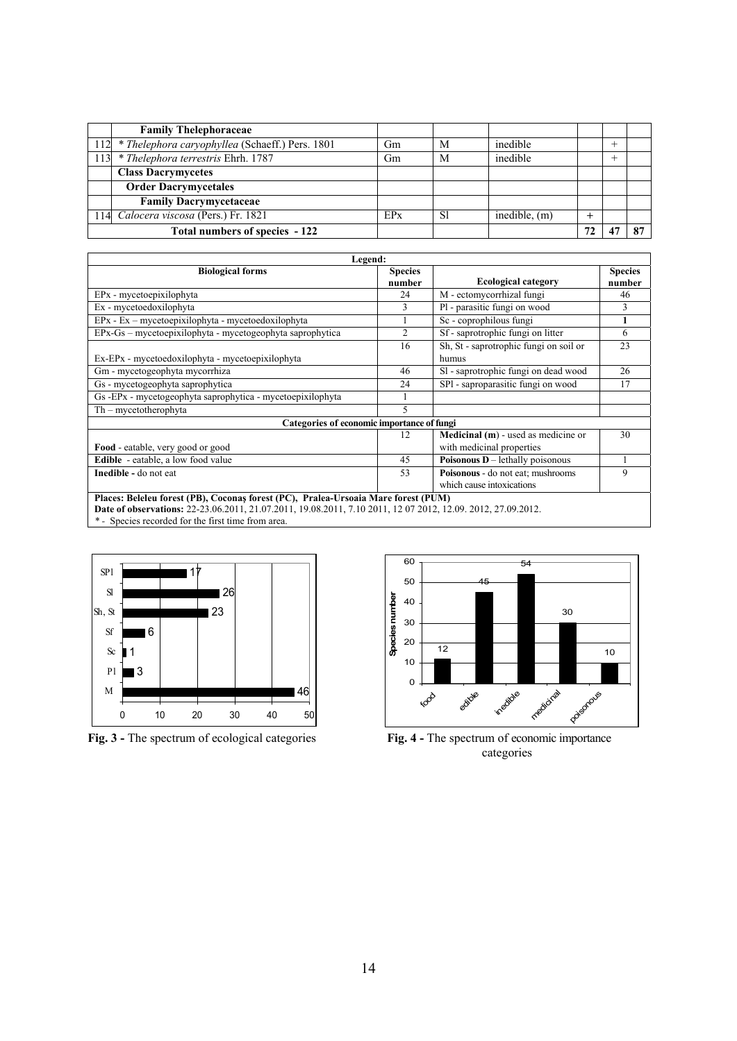|     | <b>Family Thelephoraceae</b>                        |                 |               |                 |    |      |  |
|-----|-----------------------------------------------------|-----------------|---------------|-----------------|----|------|--|
|     | 112 * Thelephora caryophyllea (Schaeff.) Pers. 1801 | Gm              | M             | inedible        |    | $^+$ |  |
| 113 | * Thelephora terrestris Ehrh. 1787                  | Gm              | M             | inedible        |    |      |  |
|     | <b>Class Dacrymycetes</b>                           |                 |               |                 |    |      |  |
|     | <b>Order Dacrymycetales</b>                         |                 |               |                 |    |      |  |
|     | <b>Family Dacrymycetaceae</b>                       |                 |               |                 |    |      |  |
|     | 114 Calocera viscosa (Pers.) Fr. 1821               | EP <sub>x</sub> | <sup>S1</sup> | inedible, $(m)$ |    |      |  |
|     | Total numbers of species - 122                      |                 |               |                 | 72 |      |  |

| Legend:                                                                                                                                                                                            |                          |                                                                |                          |  |  |  |  |
|----------------------------------------------------------------------------------------------------------------------------------------------------------------------------------------------------|--------------------------|----------------------------------------------------------------|--------------------------|--|--|--|--|
| <b>Biological forms</b>                                                                                                                                                                            | <b>Species</b><br>number | <b>Ecological category</b>                                     | <b>Species</b><br>number |  |  |  |  |
| EPx - mycetoepixilophyta                                                                                                                                                                           | 24                       | M - ectomycorrhizal fungi                                      | 46                       |  |  |  |  |
| Ex - mycetoedoxilophyta                                                                                                                                                                            | 3                        | Pl - parasitic fungi on wood                                   | 3                        |  |  |  |  |
| $EPx - Ex - mycetoepixilophyta - mycetoedoxilophyta$                                                                                                                                               | 1                        | Sc - coprophilous fungi                                        | 1                        |  |  |  |  |
| $EPx-Gs$ – mycetoepixilophyta - mycetogeophyta saprophytica                                                                                                                                        | $\overline{c}$           | Sf - saprotrophic fungi on litter                              | 6                        |  |  |  |  |
| Ex-EPx - mycetoedoxilophyta - mycetoepixilophyta                                                                                                                                                   | 16                       | Sh, St - saprotrophic fungi on soil or<br>humus                | 23                       |  |  |  |  |
| Gm - mycetogeophyta mycorrhiza                                                                                                                                                                     | 46                       | Sl - saprotrophic fungi on dead wood                           | 26                       |  |  |  |  |
| Gs - mycetogeophyta saprophytica                                                                                                                                                                   | 24                       | SP1 - saproparasitic fungi on wood                             | 17                       |  |  |  |  |
| Gs -EPx - mycetogeophyta saprophytica - mycetoepixilophyta                                                                                                                                         | 1                        |                                                                |                          |  |  |  |  |
| $Th$ – mycetotherophyta                                                                                                                                                                            | 5                        |                                                                |                          |  |  |  |  |
| Categories of economic importance of fungi                                                                                                                                                         |                          |                                                                |                          |  |  |  |  |
|                                                                                                                                                                                                    | 12                       | <b>Medicinal</b> $(m)$ - used as medicine or                   | 30                       |  |  |  |  |
| Food - eatable, very good or good                                                                                                                                                                  |                          | with medicinal properties                                      |                          |  |  |  |  |
| <b>Edible</b> - eatable, a low food value                                                                                                                                                          | 45                       | Poisonous $D$ – lethally poisonous                             |                          |  |  |  |  |
| Inedible - do not eat                                                                                                                                                                              | 53                       | Poisonous - do not eat; mushrooms<br>which cause intoxications | 9                        |  |  |  |  |
| Places: Beleleu forest (PB), Coconas forest (PC), Pralea-Ursoaia Mare forest (PUM)<br>Date of observations: 22-23.06.2011, 21.07.2011, 19.08.2011, 7.10 2011, 12 07 2012, 12.09. 2012, 27.09.2012. |                          |                                                                |                          |  |  |  |  |

*\* -* Species recorded for the first time from area.



**Fig. 3** - The spectrum of ecological categories **Fig. 4** - The spectrum of economic importance



**categories**